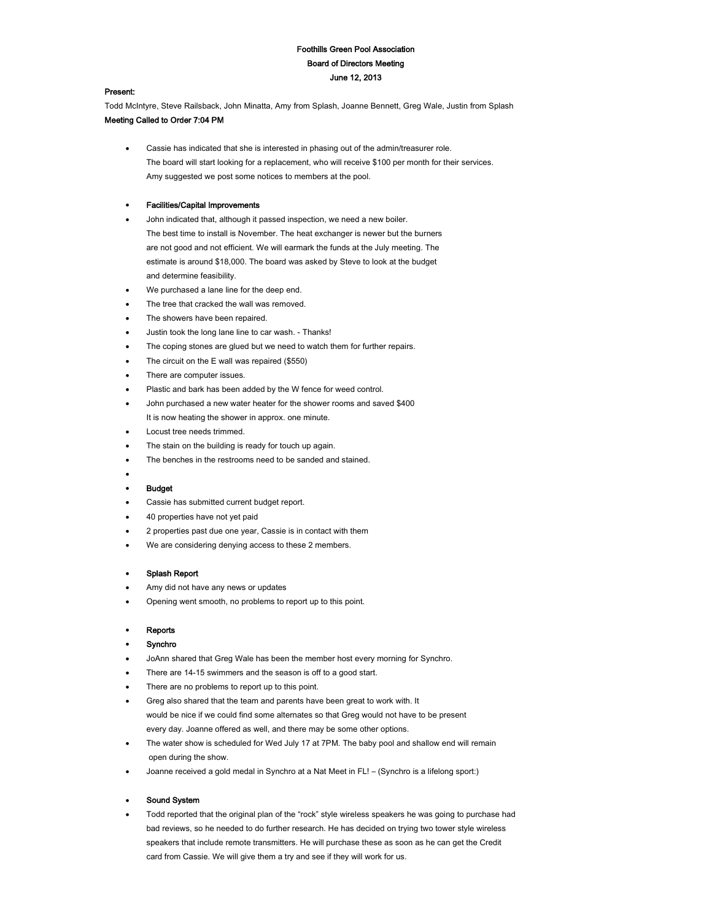# Foothills Green Pool Association Board of Directors Meeting June 12, 2013

#### Present:

Todd McIntyre, Steve Railsback, John Minatta, Amy from Splash, Joanne Bennett, Greg Wale, Justin from Splash Meeting Called to Order 7:04 PM

 Cassie has indicated that she is interested in phasing out of the admin/treasurer role. The board will start looking for a replacement, who will receive \$100 per month for their services. Amy suggested we post some notices to members at the pool.

# Facilities/Capital Improvements

- John indicated that, although it passed inspection, we need a new boiler. The best time to install is November. The heat exchanger is newer but the burners are not good and not efficient. We will earmark the funds at the July meeting. The estimate is around \$18,000. The board was asked by Steve to look at the budget and determine feasibility.
- We purchased a lane line for the deep end.
- The tree that cracked the wall was removed.
- The showers have been repaired.
- Justin took the long lane line to car wash. Thanks!
- The coping stones are glued but we need to watch them for further repairs.
- The circuit on the E wall was repaired (\$550)
- There are computer issues.
- Plastic and bark has been added by the W fence for weed control.
- John purchased a new water heater for the shower rooms and saved \$400 It is now heating the shower in approx. one minute.
- Locust tree needs trimmed.
- The stain on the building is ready for touch up again.
- The benches in the restrooms need to be sanded and stained.

# $\bullet$

#### **Budget**

- Cassie has submitted current budget report.
- 40 properties have not yet paid
- 2 properties past due one year, Cassie is in contact with them
- We are considering denying access to these 2 members.

# Splash Report

- Amy did not have any news or updates
- Opening went smooth, no problems to report up to this point.

#### Reports

#### Synchro

- JoAnn shared that Greg Wale has been the member host every morning for Synchro.
- There are 14-15 swimmers and the season is off to a good start.
- There are no problems to report up to this point.
- Greg also shared that the team and parents have been great to work with. It would be nice if we could find some alternates so that Greg would not have to be present every day. Joanne offered as well, and there may be some other options.
- The water show is scheduled for Wed July 17 at 7PM. The baby pool and shallow end will remain open during the show.
- Joanne received a gold medal in Synchro at a Nat Meet in FL! (Synchro is a lifelong sport:)

#### Sound System

 Todd reported that the original plan of the "rock" style wireless speakers he was going to purchase had bad reviews, so he needed to do further research. He has decided on trying two tower style wireless speakers that include remote transmitters. He will purchase these as soon as he can get the Credit card from Cassie. We will give them a try and see if they will work for us.